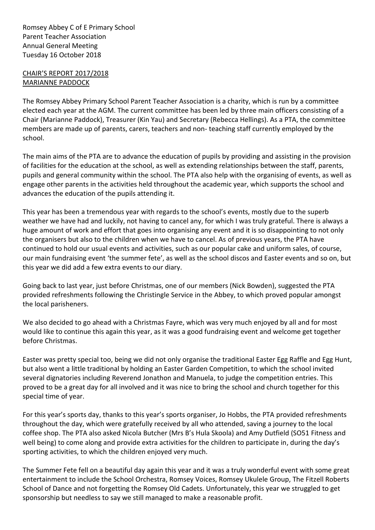Romsey Abbey C of E Primary School Parent Teacher Association Annual General Meeting Tuesday 16 October 2018

## CHAIR'S REPORT 2017/2018 MARIANNE PADDOCK

The Romsey Abbey Primary School Parent Teacher Association is a charity, which is run by a committee elected each year at the AGM. The current committee has been led by three main officers consisting of a Chair (Marianne Paddock), Treasurer (Kin Yau) and Secretary (Rebecca Hellings). As a PTA, the committee members are made up of parents, carers, teachers and non- teaching staff currently employed by the school.

The main aims of the PTA are to advance the education of pupils by providing and assisting in the provision of facilities for the education at the school, as well as extending relationships between the staff, parents, pupils and general community within the school. The PTA also help with the organising of events, as well as engage other parents in the activities held throughout the academic year, which supports the school and advances the education of the pupils attending it.

This year has been a tremendous year with regards to the school's events, mostly due to the superb weather we have had and luckily, not having to cancel any, for which I was truly grateful. There is always a huge amount of work and effort that goes into organising any event and it is so disappointing to not only the organisers but also to the children when we have to cancel. As of previous years, the PTA have continued to hold our usual events and activities, such as our popular cake and uniform sales, of course, our main fundraising event 'the summer fete', as well as the school discos and Easter events and so on, but this year we did add a few extra events to our diary.

Going back to last year, just before Christmas, one of our members (Nick Bowden), suggested the PTA provided refreshments following the Christingle Service in the Abbey, to which proved popular amongst the local parisheners.

We also decided to go ahead with a Christmas Fayre, which was very much enjoyed by all and for most would like to continue this again this year, as it was a good fundraising event and welcome get together before Christmas.

Easter was pretty special too, being we did not only organise the traditional Easter Egg Raffle and Egg Hunt, but also went a little traditional by holding an Easter Garden Competition, to which the school invited several dignatories including Reverend Jonathon and Manuela, to judge the competition entries. This proved to be a great day for all involved and it was nice to bring the school and church together for this special time of year.

For this year's sports day, thanks to this year's sports organiser, Jo Hobbs, the PTA provided refreshments throughout the day, which were gratefully received by all who attended, saving a journey to the local coffee shop. The PTA also asked Nicola Butcher (Mrs B's Hula Skoola) and Amy Dutfield (SO51 Fitness and well being) to come along and provide extra activities for the children to participate in, during the day's sporting activities, to which the children enjoyed very much.

The Summer Fete fell on a beautiful day again this year and it was a truly wonderful event with some great entertainment to include the School Orchestra, Romsey Voices, Romsey Ukulele Group, The Fitzell Roberts School of Dance and not forgetting the Romsey Old Cadets. Unfortunately, this year we struggled to get sponsorship but needless to say we still managed to make a reasonable profit.